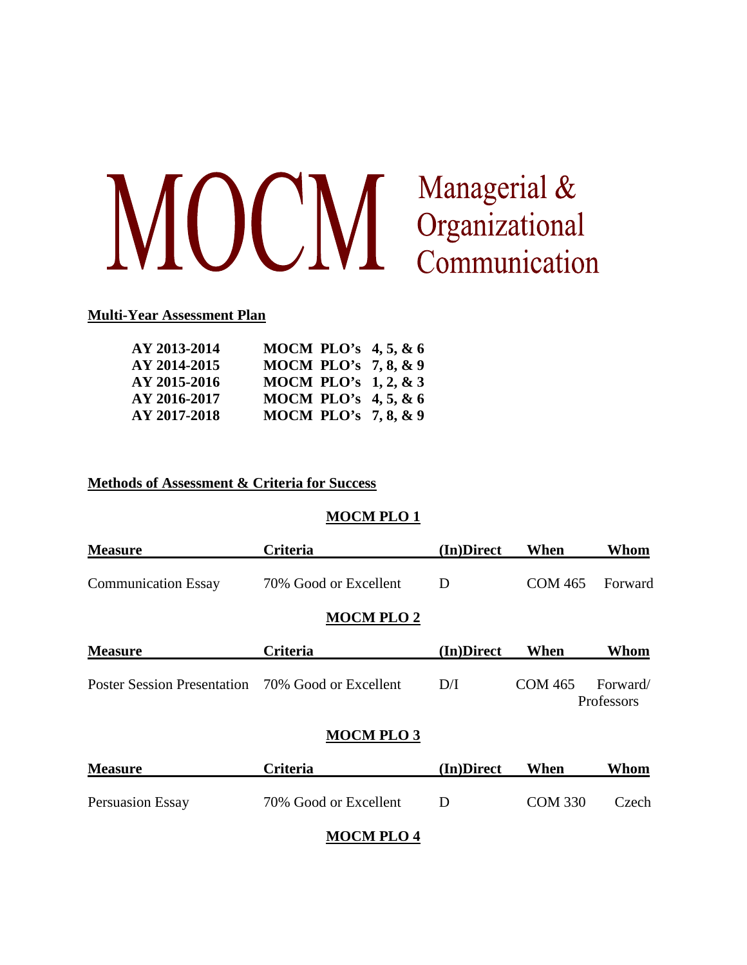# MOCM Managerial &<br>Communication

### **Multi-Year Assessment Plan**

| AY 2013-2014 | MOCM PLO's $4, 5, 8, 6$ |  |
|--------------|-------------------------|--|
| AY 2014-2015 | MOCM PLO's 7, 8, & 9    |  |
| AY 2015-2016 | MOCM PLO's $1, 2, 8, 3$ |  |
| AY 2016-2017 | MOCM PLO's $4, 5, 8, 6$ |  |
| AY 2017-2018 | MOCM PLO's $7, 8, \& 9$ |  |

### **Methods of Assessment & Criteria for Success**

### **MOCM PLO 1**

| <b>Criteria</b>                                   | (In)Direct | When           | Whom                   |
|---------------------------------------------------|------------|----------------|------------------------|
| 70% Good or Excellent                             | D          | <b>COM 465</b> | Forward                |
| <b>MOCM PLO 2</b>                                 |            |                |                        |
| <b>Criteria</b>                                   | (In)Direct | When           | Whom                   |
| Poster Session Presentation 70% Good or Excellent | D/I        | <b>COM 465</b> | Forward/<br>Professors |
| <b>MOCM PLO 3</b>                                 |            |                |                        |
| <b>Criteria</b>                                   | (In)Direct | When           | Whom                   |
|                                                   |            |                |                        |

# Persuasion Essay 70% Good or Excellent D COM 330 Czech

### **MOCM PLO 4**